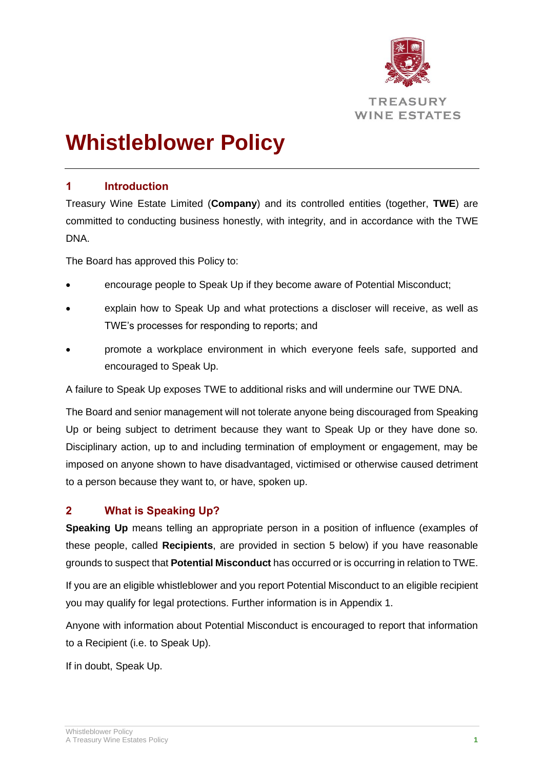

# **Whistleblower Policy**

## **1 Introduction**

Treasury Wine Estate Limited (**Company**) and its controlled entities (together, **TWE**) are committed to conducting business honestly, with integrity, and in accordance with the TWE DNA.

The Board has approved this Policy to:

- encourage people to Speak Up if they become aware of Potential Misconduct;
- explain how to Speak Up and what protections a discloser will receive, as well as TWE's processes for responding to reports; and
- promote a workplace environment in which everyone feels safe, supported and encouraged to Speak Up.

A failure to Speak Up exposes TWE to additional risks and will undermine our TWE DNA.

The Board and senior management will not tolerate anyone being discouraged from Speaking Up or being subject to detriment because they want to Speak Up or they have done so. Disciplinary action, up to and including termination of employment or engagement, may be imposed on anyone shown to have disadvantaged, victimised or otherwise caused detriment to a person because they want to, or have, spoken up.

## **2 What is Speaking Up?**

**Speaking Up** means telling an appropriate person in a position of influence (examples of these people, called **Recipients**, are provided in section 5 below) if you have reasonable grounds to suspect that **Potential Misconduct** has occurred or is occurring in relation to TWE.

If you are an eligible whistleblower and you report Potential Misconduct to an eligible recipient you may qualify for legal protections. Further information is in Appendix 1.

Anyone with information about Potential Misconduct is encouraged to report that information to a Recipient (i.e. to Speak Up).

If in doubt, Speak Up.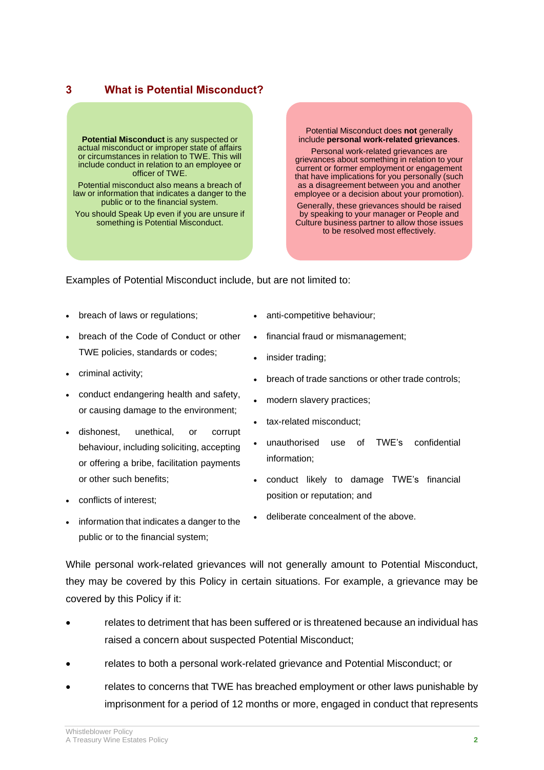#### **3 What is Potential Misconduct?**

**Potential Misconduct** is any suspected or actual misconduct or improper state of affairs or circumstances in relation to TWE. This will include conduct in relation to an employee or officer of TWE.

Potential misconduct also means a breach of law or information that indicates a danger to the public or to the financial system.

You should Speak Up even if you are unsure if something is Potential Misconduct.

Potential Misconduct does **not** generally include **personal work-related grievances**.

Personal work-related grievances are grievances about something in relation to your current or former employment or engagement that have implications for you personally (such as a disagreement between you and another employee or a decision about your promotion).

Generally, these grievances should be raised by speaking to your manager or People and Culture business partner to allow those issues to be resolved most effectively.

Examples of Potential Misconduct include, but are not limited to:

- breach of laws or regulations;
- breach of the Code of Conduct or other TWE policies, standards or codes;
- criminal activity;
- conduct endangering health and safety, or causing damage to the environment;
- dishonest, unethical, or corrupt behaviour, including soliciting, accepting or offering a bribe, facilitation payments or other such benefits;
- conflicts of interest;
- information that indicates a danger to the public or to the financial system;
- anti-competitive behaviour;
- financial fraud or mismanagement;
- insider trading;
- breach of trade sanctions or other trade controls;
- modern slavery practices;
- tax-related misconduct;
- unauthorised use of TWE's confidential information;
- conduct likely to damage TWE's financial position or reputation; and
- deliberate concealment of the above.

While personal work-related grievances will not generally amount to Potential Misconduct, they may be covered by this Policy in certain situations. For example, a grievance may be covered by this Policy if it:

- relates to detriment that has been suffered or is threatened because an individual has raised a concern about suspected Potential Misconduct;
- relates to both a personal work-related grievance and Potential Misconduct; or
- relates to concerns that TWE has breached employment or other laws punishable by imprisonment for a period of 12 months or more, engaged in conduct that represents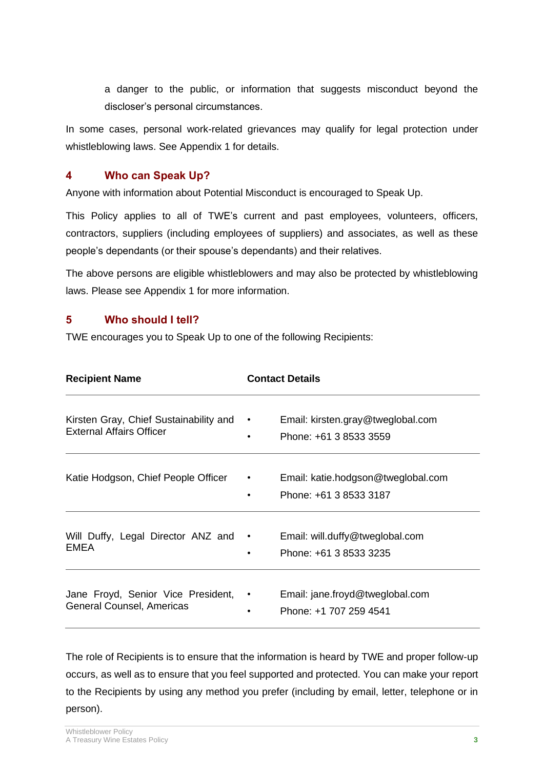a danger to the public, or information that suggests misconduct beyond the discloser's personal circumstances.

In some cases, personal work-related grievances may qualify for legal protection under whistleblowing laws. See Appendix 1 for details.

#### **4 Who can Speak Up?**

Anyone with information about Potential Misconduct is encouraged to Speak Up.

This Policy applies to all of TWE's current and past employees, volunteers, officers, contractors, suppliers (including employees of suppliers) and associates, as well as these people's dependants (or their spouse's dependants) and their relatives.

The above persons are eligible whistleblowers and may also be protected by whistleblowing laws. Please see Appendix 1 for more information.

#### <span id="page-2-0"></span>**5 Who should I tell?**

TWE encourages you to Speak Up to one of the following Recipients:

| <b>Recipient Name</b>                                                     |                        | <b>Contact Details</b>                                       |  |
|---------------------------------------------------------------------------|------------------------|--------------------------------------------------------------|--|
| Kirsten Gray, Chief Sustainability and<br><b>External Affairs Officer</b> | $\bullet$              | Email: kirsten.gray@tweglobal.com<br>Phone: +61 3 8533 3559  |  |
| Katie Hodgson, Chief People Officer                                       | $\bullet$<br>$\bullet$ | Email: katie.hodgson@tweglobal.com<br>Phone: +61 3 8533 3187 |  |
| Will Duffy, Legal Director ANZ and .<br>EMEA                              | ٠                      | Email: will.duffy@tweglobal.com<br>Phone: +61 3 8533 3235    |  |
| Jane Froyd, Senior Vice President,<br>General Counsel, Americas           | $\bullet$              | Email: jane.froyd@tweglobal.com<br>Phone: +1 707 259 4541    |  |

The role of Recipients is to ensure that the information is heard by TWE and proper follow-up occurs, as well as to ensure that you feel supported and protected. You can make your report to the Recipients by using any method you prefer (including by email, letter, telephone or in person).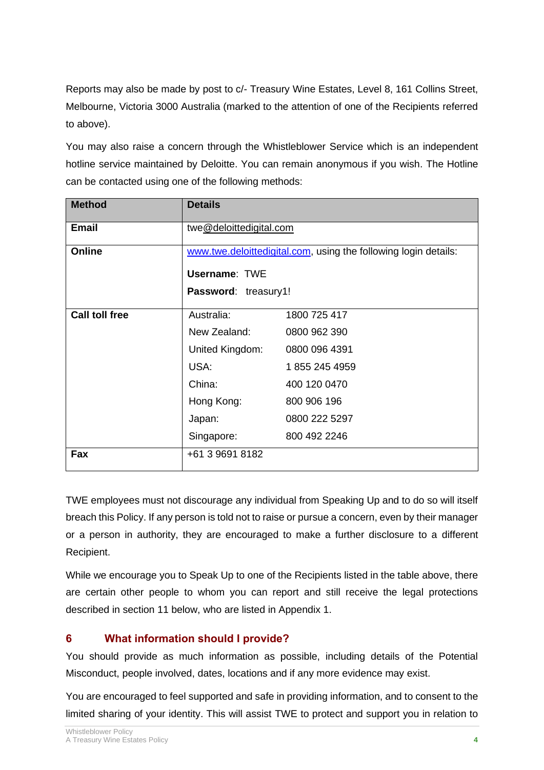Reports may also be made by post to c/- Treasury Wine Estates, Level 8, 161 Collins Street, Melbourne, Victoria 3000 Australia (marked to the attention of one of the Recipients referred to above).

You may also raise a concern through the Whistleblower Service which is an independent hotline service maintained by Deloitte. You can remain anonymous if you wish. The Hotline can be contacted using one of the following methods:

| <b>Method</b>         | <b>Details</b>                                                  |               |  |  |
|-----------------------|-----------------------------------------------------------------|---------------|--|--|
| <b>Email</b>          | twe@deloittedigital.com                                         |               |  |  |
| Online                | www.twe.deloittedigital.com, using the following login details: |               |  |  |
|                       | <b>Username: TWE</b>                                            |               |  |  |
|                       | Password: treasury1!                                            |               |  |  |
| <b>Call toll free</b> | Australia:                                                      | 1800 725 417  |  |  |
|                       | New Zealand:                                                    | 0800 962 390  |  |  |
|                       | United Kingdom:                                                 | 0800 096 4391 |  |  |
|                       | USA:                                                            | 1855 245 4959 |  |  |
|                       | China:                                                          | 400 120 0470  |  |  |
|                       | Hong Kong:                                                      | 800 906 196   |  |  |
|                       | Japan:                                                          | 0800 222 5297 |  |  |
|                       | Singapore:                                                      | 800 492 2246  |  |  |
| Fax                   | +61 3 9691 8182                                                 |               |  |  |

TWE employees must not discourage any individual from Speaking Up and to do so will itself breach this Policy. If any person is told not to raise or pursue a concern, even by their manager or a person in authority, they are encouraged to make a further disclosure to a different Recipient.

While we encourage you to Speak Up to one of the Recipients listed in the table above, there are certain other people to whom you can report and still receive the legal protections described in section [11](#page-6-0) below, who are listed in Appendix 1.

## **6 What information should I provide?**

You should provide as much information as possible, including details of the Potential Misconduct, people involved, dates, locations and if any more evidence may exist.

You are encouraged to feel supported and safe in providing information, and to consent to the limited sharing of your identity. This will assist TWE to protect and support you in relation to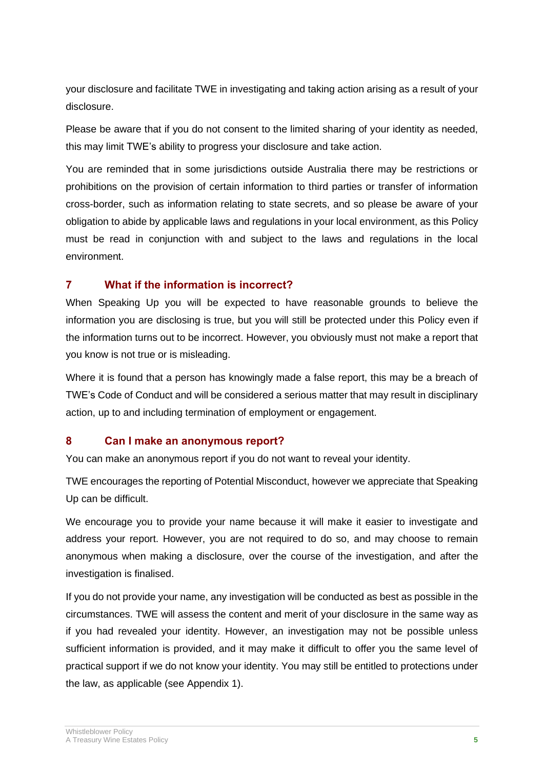your disclosure and facilitate TWE in investigating and taking action arising as a result of your disclosure.

Please be aware that if you do not consent to the limited sharing of your identity as needed, this may limit TWE's ability to progress your disclosure and take action.

You are reminded that in some jurisdictions outside Australia there may be restrictions or prohibitions on the provision of certain information to third parties or transfer of information cross-border, such as information relating to state secrets, and so please be aware of your obligation to abide by applicable laws and regulations in your local environment, as this Policy must be read in conjunction with and subject to the laws and regulations in the local environment.

# **7 What if the information is incorrect?**

When Speaking Up you will be expected to have reasonable grounds to believe the information you are disclosing is true, but you will still be protected under this Policy even if the information turns out to be incorrect. However, you obviously must not make a report that you know is not true or is misleading.

Where it is found that a person has knowingly made a false report, this may be a breach of TWE's Code of Conduct and will be considered a serious matter that may result in disciplinary action, up to and including termination of employment or engagement.

## **8 Can I make an anonymous report?**

You can make an anonymous report if you do not want to reveal your identity.

TWE encourages the reporting of Potential Misconduct, however we appreciate that Speaking Up can be difficult.

We encourage you to provide your name because it will make it easier to investigate and address your report. However, you are not required to do so, and may choose to remain anonymous when making a disclosure, over the course of the investigation, and after the investigation is finalised.

If you do not provide your name, any investigation will be conducted as best as possible in the circumstances. TWE will assess the content and merit of your disclosure in the same way as if you had revealed your identity. However, an investigation may not be possible unless sufficient information is provided, and it may make it difficult to offer you the same level of practical support if we do not know your identity. You may still be entitled to protections under the law, as applicable (see Appendix 1).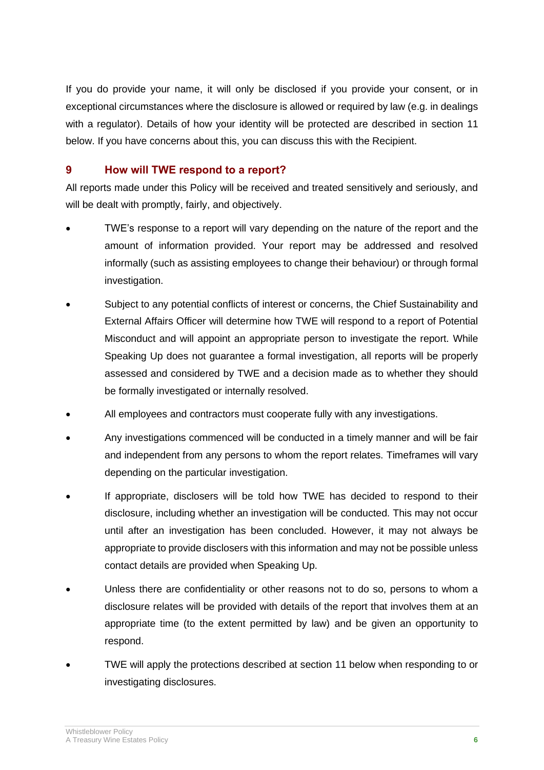If you do provide your name, it will only be disclosed if you provide your consent, or in exceptional circumstances where the disclosure is allowed or required by law (e.g. in dealings with a regulator). Details of how your identity will be protected are described in section [11](#page-6-0) below. If you have concerns about this, you can discuss this with the Recipient.

#### **9 How will TWE respond to a report?**

All reports made under this Policy will be received and treated sensitively and seriously, and will be dealt with promptly, fairly, and objectively.

- TWE's response to a report will vary depending on the nature of the report and the amount of information provided. Your report may be addressed and resolved informally (such as assisting employees to change their behaviour) or through formal investigation.
- Subject to any potential conflicts of interest or concerns, the Chief Sustainability and External Affairs Officer will determine how TWE will respond to a report of Potential Misconduct and will appoint an appropriate person to investigate the report. While Speaking Up does not guarantee a formal investigation, all reports will be properly assessed and considered by TWE and a decision made as to whether they should be formally investigated or internally resolved.
- All employees and contractors must cooperate fully with any investigations.
- Any investigations commenced will be conducted in a timely manner and will be fair and independent from any persons to whom the report relates. Timeframes will vary depending on the particular investigation.
- If appropriate, disclosers will be told how TWE has decided to respond to their disclosure, including whether an investigation will be conducted. This may not occur until after an investigation has been concluded. However, it may not always be appropriate to provide disclosers with this information and may not be possible unless contact details are provided when Speaking Up.
- Unless there are confidentiality or other reasons not to do so, persons to whom a disclosure relates will be provided with details of the report that involves them at an appropriate time (to the extent permitted by law) and be given an opportunity to respond.
- TWE will apply the protections described at section [11](#page-6-0) below when responding to or investigating disclosures.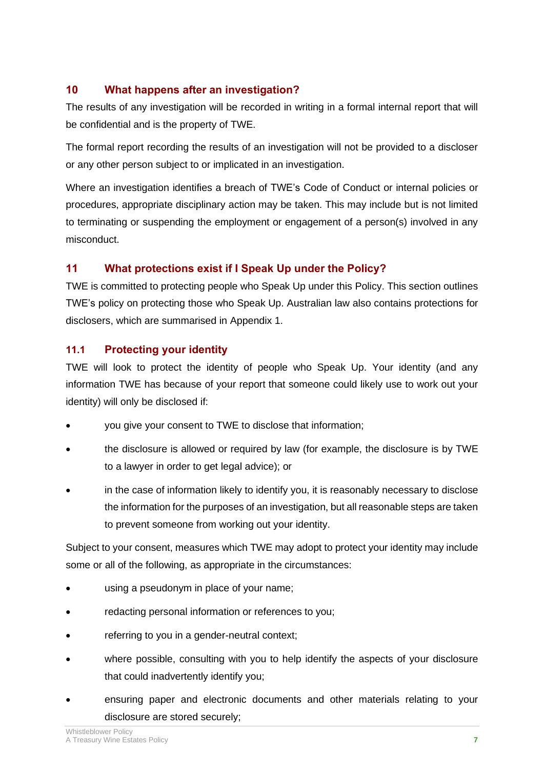# **10 What happens after an investigation?**

The results of any investigation will be recorded in writing in a formal internal report that will be confidential and is the property of TWE.

The formal report recording the results of an investigation will not be provided to a discloser or any other person subject to or implicated in an investigation.

Where an investigation identifies a breach of TWE's Code of Conduct or internal policies or procedures, appropriate disciplinary action may be taken. This may include but is not limited to terminating or suspending the employment or engagement of a person(s) involved in any misconduct.

# <span id="page-6-0"></span>**11 What protections exist if I Speak Up under the Policy?**

TWE is committed to protecting people who Speak Up under this Policy. This section outlines TWE's policy on protecting those who Speak Up. Australian law also contains protections for disclosers, which are summarised in Appendix 1.

# **11.1 Protecting your identity**

TWE will look to protect the identity of people who Speak Up. Your identity (and any information TWE has because of your report that someone could likely use to work out your identity) will only be disclosed if:

- you give your consent to TWE to disclose that information;
- the disclosure is allowed or required by law (for example, the disclosure is by TWE to a lawyer in order to get legal advice); or
- in the case of information likely to identify you, it is reasonably necessary to disclose the information for the purposes of an investigation, but all reasonable steps are taken to prevent someone from working out your identity.

Subject to your consent, measures which TWE may adopt to protect your identity may include some or all of the following, as appropriate in the circumstances:

- using a pseudonym in place of your name;
- redacting personal information or references to you;
- referring to you in a gender-neutral context;
- where possible, consulting with you to help identify the aspects of your disclosure that could inadvertently identify you;
- ensuring paper and electronic documents and other materials relating to your disclosure are stored securely;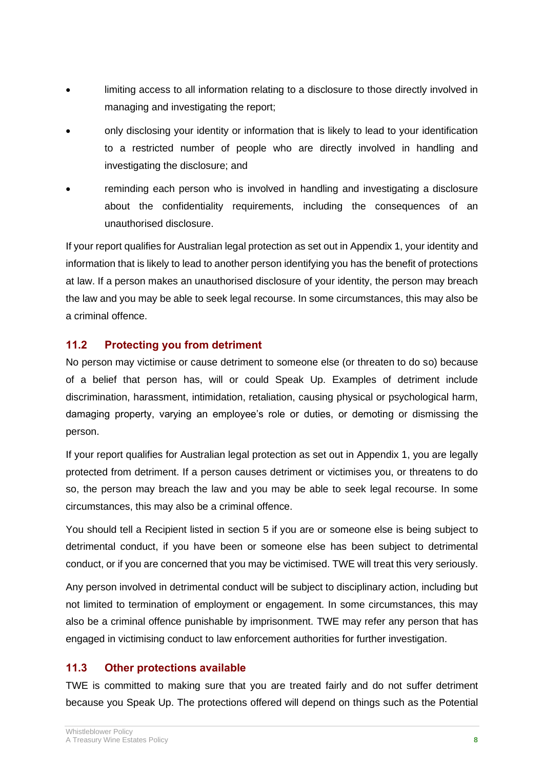- limiting access to all information relating to a disclosure to those directly involved in managing and investigating the report;
- only disclosing your identity or information that is likely to lead to your identification to a restricted number of people who are directly involved in handling and investigating the disclosure; and
- reminding each person who is involved in handling and investigating a disclosure about the confidentiality requirements, including the consequences of an unauthorised disclosure.

If your report qualifies for Australian legal protection as set out in Appendix 1, your identity and information that is likely to lead to another person identifying you has the benefit of protections at law. If a person makes an unauthorised disclosure of your identity, the person may breach the law and you may be able to seek legal recourse. In some circumstances, this may also be a criminal offence.

## **11.2 Protecting you from detriment**

No person may victimise or cause detriment to someone else (or threaten to do so) because of a belief that person has, will or could Speak Up. Examples of detriment include discrimination, harassment, intimidation, retaliation, causing physical or psychological harm, damaging property, varying an employee's role or duties, or demoting or dismissing the person.

If your report qualifies for Australian legal protection as set out in Appendix 1, you are legally protected from detriment. If a person causes detriment or victimises you, or threatens to do so, the person may breach the law and you may be able to seek legal recourse. In some circumstances, this may also be a criminal offence.

You should tell a Recipient listed in section [5](#page-2-0) if you are or someone else is being subject to detrimental conduct, if you have been or someone else has been subject to detrimental conduct, or if you are concerned that you may be victimised. TWE will treat this very seriously.

Any person involved in detrimental conduct will be subject to disciplinary action, including but not limited to termination of employment or engagement. In some circumstances, this may also be a criminal offence punishable by imprisonment. TWE may refer any person that has engaged in victimising conduct to law enforcement authorities for further investigation.

## **11.3 Other protections available**

TWE is committed to making sure that you are treated fairly and do not suffer detriment because you Speak Up. The protections offered will depend on things such as the Potential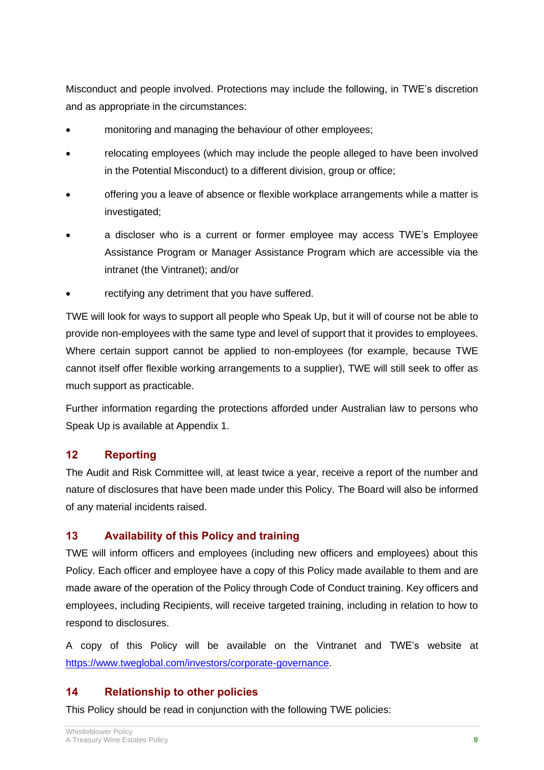Misconduct and people involved. Protections may include the following, in TWE's discretion and as appropriate in the circumstances:

- monitoring and managing the behaviour of other employees;
- relocating employees (which may include the people alleged to have been involved in the Potential Misconduct) to a different division, group or office;
- offering you a leave of absence or flexible workplace arrangements while a matter is investigated;
- a discloser who is a current or former employee may access TWE's Employee Assistance Program or Manager Assistance Program which are accessible via the intranet (the Vintranet); and/or
- rectifying any detriment that you have suffered.

TWE will look for ways to support all people who Speak Up, but it will of course not be able to provide non-employees with the same type and level of support that it provides to employees. Where certain support cannot be applied to non-employees (for example, because TWE cannot itself offer flexible working arrangements to a supplier), TWE will still seek to offer as much support as practicable.

Further information regarding the protections afforded under Australian law to persons who Speak Up is available at Appendix 1.

## **12 Reporting**

The Audit and Risk Committee will, at least twice a year, receive a report of the number and nature of disclosures that have been made under this Policy. The Board will also be informed of any material incidents raised.

# **13 Availability of this Policy and training**

TWE will inform officers and employees (including new officers and employees) about this Policy. Each officer and employee have a copy of this Policy made available to them and are made aware of the operation of the Policy through Code of Conduct training. Key officers and employees, including Recipients, will receive targeted training, including in relation to how to respond to disclosures.

A copy of this Policy will be available on the Vintranet and TWE's website at [https://www.tweglobal.com/investors/corporate-governance.](https://www.tweglobal.com/investors/corporate-governance)

## **14 Relationship to other policies**

This Policy should be read in conjunction with the following TWE policies: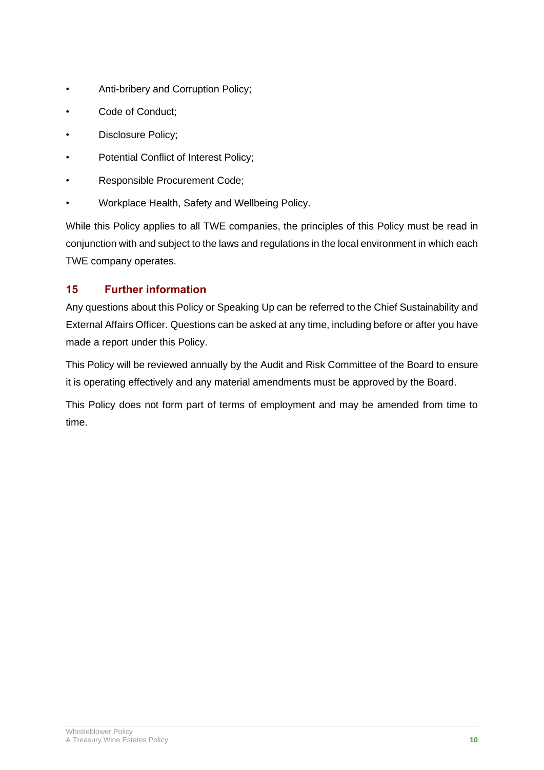- Anti-bribery and Corruption Policy;
- Code of Conduct;
- Disclosure Policy;
- Potential Conflict of Interest Policy;
- Responsible Procurement Code;
- Workplace Health, Safety and Wellbeing Policy.

While this Policy applies to all TWE companies, the principles of this Policy must be read in conjunction with and subject to the laws and regulations in the local environment in which each TWE company operates.

# **15 Further information**

Any questions about this Policy or Speaking Up can be referred to the Chief Sustainability and External Affairs Officer. Questions can be asked at any time, including before or after you have made a report under this Policy.

This Policy will be reviewed annually by the Audit and Risk Committee of the Board to ensure it is operating effectively and any material amendments must be approved by the Board.

This Policy does not form part of terms of employment and may be amended from time to time.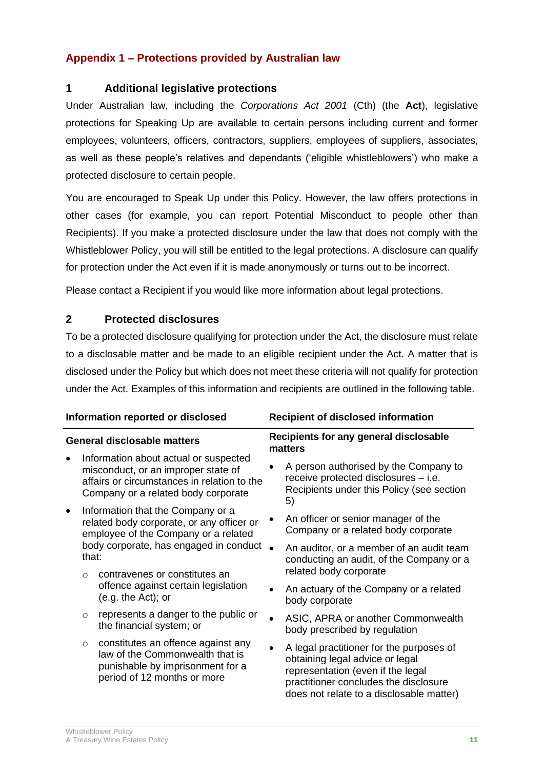# **Appendix 1 – Protections provided by Australian law**

#### **1 Additional legislative protections**

Under Australian law, including the *Corporations Act 2001* (Cth) (the **Act**), legislative protections for Speaking Up are available to certain persons including current and former employees, volunteers, officers, contractors, suppliers, employees of suppliers, associates, as well as these people's relatives and dependants ('eligible whistleblowers') who make a protected disclosure to certain people.

You are encouraged to Speak Up under this Policy. However, the law offers protections in other cases (for example, you can report Potential Misconduct to people other than Recipients). If you make a protected disclosure under the law that does not comply with the Whistleblower Policy, you will still be entitled to the legal protections. A disclosure can qualify for protection under the Act even if it is made anonymously or turns out to be incorrect.

Please contact a Recipient if you would like more information about legal protections.

#### **2 Protected disclosures**

To be a protected disclosure qualifying for protection under the Act, the disclosure must relate to a disclosable matter and be made to an eligible recipient under the Act. A matter that is disclosed under the Policy but which does not meet these criteria will not qualify for protection under the Act. Examples of this information and recipients are outlined in the following table.

| Information reported or disclosed  |                                                                                                                                                             | <b>Recipient of disclosed information</b>                                                                                                                          |                                                                                                                |                                                                                                                                                                                                       |
|------------------------------------|-------------------------------------------------------------------------------------------------------------------------------------------------------------|--------------------------------------------------------------------------------------------------------------------------------------------------------------------|----------------------------------------------------------------------------------------------------------------|-------------------------------------------------------------------------------------------------------------------------------------------------------------------------------------------------------|
| <b>General disclosable matters</b> |                                                                                                                                                             | Recipients for any general disclosable<br>matters                                                                                                                  |                                                                                                                |                                                                                                                                                                                                       |
|                                    |                                                                                                                                                             | Information about actual or suspected<br>misconduct, or an improper state of<br>affairs or circumstances in relation to the<br>Company or a related body corporate |                                                                                                                | A person authorised by the Company to<br>receive protected disclosures - i.e.<br>Recipients under this Policy (see section<br>5)                                                                      |
|                                    |                                                                                                                                                             | Information that the Company or a<br>related body corporate, or any officer or<br>employee of the Company or a related                                             |                                                                                                                | An officer or senior manager of the<br>Company or a related body corporate                                                                                                                            |
|                                    | body corporate, has engaged in conduct<br>that:<br>contravenes or constitutes an<br>$\Omega$<br>offence against certain legislation<br>$(e.g. the Act);$ or |                                                                                                                                                                    | An auditor, or a member of an audit team<br>conducting an audit, of the Company or a<br>related body corporate |                                                                                                                                                                                                       |
|                                    |                                                                                                                                                             |                                                                                                                                                                    |                                                                                                                | An actuary of the Company or a related<br>body corporate                                                                                                                                              |
|                                    | $\circ$                                                                                                                                                     | represents a danger to the public or<br>the financial system; or                                                                                                   |                                                                                                                | ASIC, APRA or another Commonwealth<br>body prescribed by regulation                                                                                                                                   |
|                                    | $\circ$                                                                                                                                                     | constitutes an offence against any<br>law of the Commonwealth that is<br>punishable by imprisonment for a<br>period of 12 months or more                           |                                                                                                                | A legal practitioner for the purposes of<br>obtaining legal advice or legal<br>representation (even if the legal<br>practitioner concludes the disclosure<br>does not relate to a disclosable matter) |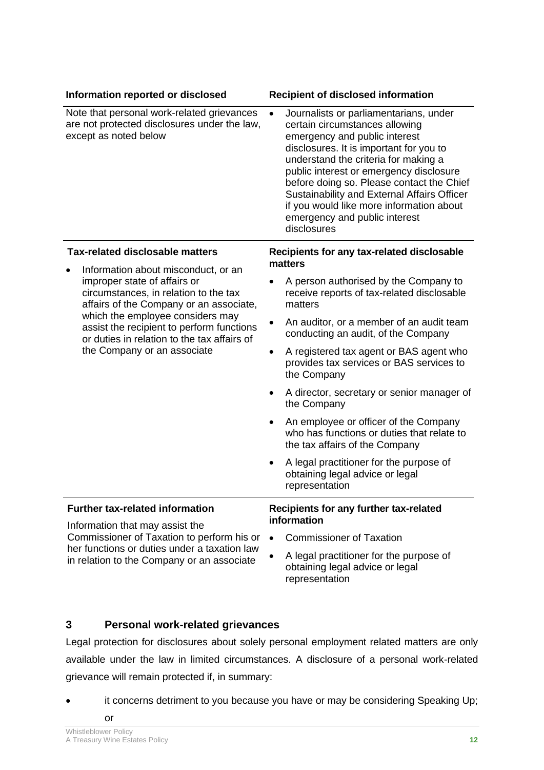| Information reported or disclosed                                                                                                                                                                                                                                                       | <b>Recipient of disclosed information</b>                                                                                                                                                                                                                                                                                                                                                                                                    |  |
|-----------------------------------------------------------------------------------------------------------------------------------------------------------------------------------------------------------------------------------------------------------------------------------------|----------------------------------------------------------------------------------------------------------------------------------------------------------------------------------------------------------------------------------------------------------------------------------------------------------------------------------------------------------------------------------------------------------------------------------------------|--|
| Note that personal work-related grievances<br>are not protected disclosures under the law,<br>except as noted below                                                                                                                                                                     | Journalists or parliamentarians, under<br>$\bullet$<br>certain circumstances allowing<br>emergency and public interest<br>disclosures. It is important for you to<br>understand the criteria for making a<br>public interest or emergency disclosure<br>before doing so. Please contact the Chief<br>Sustainability and External Affairs Officer<br>if you would like more information about<br>emergency and public interest<br>disclosures |  |
| <b>Tax-related disclosable matters</b>                                                                                                                                                                                                                                                  | Recipients for any tax-related disclosable<br>matters                                                                                                                                                                                                                                                                                                                                                                                        |  |
| Information about misconduct, or an<br>improper state of affairs or<br>circumstances, in relation to the tax<br>affairs of the Company or an associate,<br>which the employee considers may<br>assist the recipient to perform functions<br>or duties in relation to the tax affairs of | A person authorised by the Company to<br>receive reports of tax-related disclosable<br>matters                                                                                                                                                                                                                                                                                                                                               |  |
|                                                                                                                                                                                                                                                                                         | An auditor, or a member of an audit team<br>$\bullet$<br>conducting an audit, of the Company                                                                                                                                                                                                                                                                                                                                                 |  |
| the Company or an associate                                                                                                                                                                                                                                                             | A registered tax agent or BAS agent who<br>$\bullet$<br>provides tax services or BAS services to<br>the Company                                                                                                                                                                                                                                                                                                                              |  |
|                                                                                                                                                                                                                                                                                         | A director, secretary or senior manager of<br>٠<br>the Company                                                                                                                                                                                                                                                                                                                                                                               |  |
|                                                                                                                                                                                                                                                                                         | An employee or officer of the Company<br>٠<br>who has functions or duties that relate to<br>the tax affairs of the Company                                                                                                                                                                                                                                                                                                                   |  |
|                                                                                                                                                                                                                                                                                         | A legal practitioner for the purpose of<br>obtaining legal advice or legal<br>representation                                                                                                                                                                                                                                                                                                                                                 |  |
| <b>Further tax-related information</b><br>Information that may assist the                                                                                                                                                                                                               | Recipients for any further tax-related<br>information                                                                                                                                                                                                                                                                                                                                                                                        |  |
| Commissioner of Taxation to perform his or                                                                                                                                                                                                                                              | <b>Commissioner of Taxation</b>                                                                                                                                                                                                                                                                                                                                                                                                              |  |
| her functions or duties under a taxation law<br>in relation to the Company or an associate                                                                                                                                                                                              | A legal practitioner for the purpose of<br>obtaining legal advice or legal<br>representation                                                                                                                                                                                                                                                                                                                                                 |  |

#### **3 Personal work-related grievances**

Legal protection for disclosures about solely personal employment related matters are only available under the law in limited circumstances. A disclosure of a personal work-related grievance will remain protected if, in summary:

it concerns detriment to you because you have or may be considering Speaking Up; or